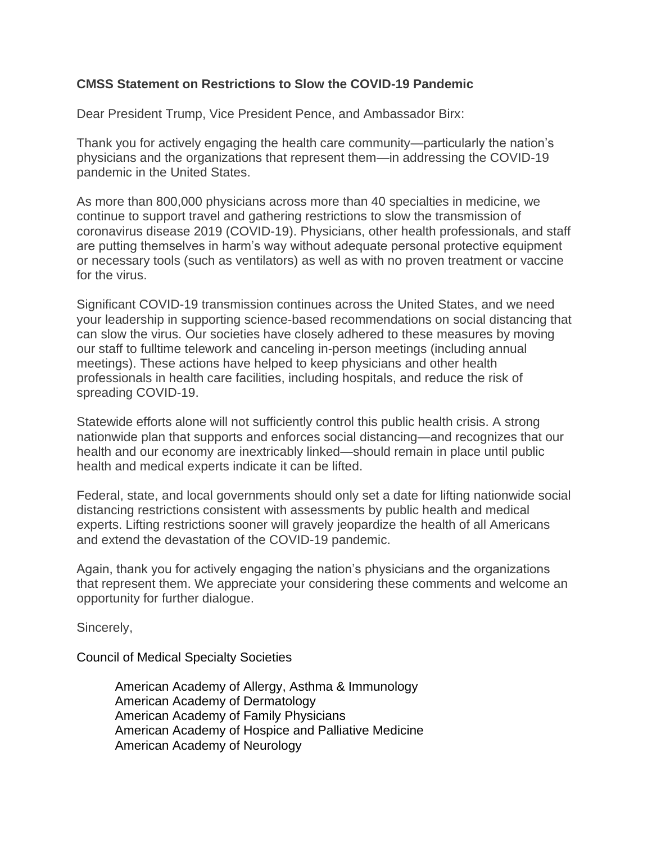## **CMSS Statement on Restrictions to Slow the COVID-19 Pandemic**

Dear President Trump, Vice President Pence, and Ambassador Birx:

Thank you for actively engaging the health care community—particularly the nation's physicians and the organizations that represent them—in addressing the COVID-19 pandemic in the United States.

As more than 800,000 physicians across more than 40 specialties in medicine, we continue to support travel and gathering restrictions to slow the transmission of coronavirus disease 2019 (COVID-19). Physicians, other health professionals, and staff are putting themselves in harm's way without adequate personal protective equipment or necessary tools (such as ventilators) as well as with no proven treatment or vaccine for the virus.

Significant COVID-19 transmission continues across the United States, and we need your leadership in supporting science-based recommendations on social distancing that can slow the virus. Our societies have closely adhered to these measures by moving our staff to fulltime telework and canceling in-person meetings (including annual meetings). These actions have helped to keep physicians and other health professionals in health care facilities, including hospitals, and reduce the risk of spreading COVID-19.

Statewide efforts alone will not sufficiently control this public health crisis. A strong nationwide plan that supports and enforces social distancing—and recognizes that our health and our economy are inextricably linked—should remain in place until public health and medical experts indicate it can be lifted.

Federal, state, and local governments should only set a date for lifting nationwide social distancing restrictions consistent with assessments by public health and medical experts. Lifting restrictions sooner will gravely jeopardize the health of all Americans and extend the devastation of the COVID-19 pandemic.

Again, thank you for actively engaging the nation's physicians and the organizations that represent them. We appreciate your considering these comments and welcome an opportunity for further dialogue.

Sincerely,

Council of Medical Specialty Societies

American Academy of Allergy, Asthma & Immunology American Academy of Dermatology American Academy of Family Physicians American Academy of Hospice and Palliative Medicine American Academy of Neurology